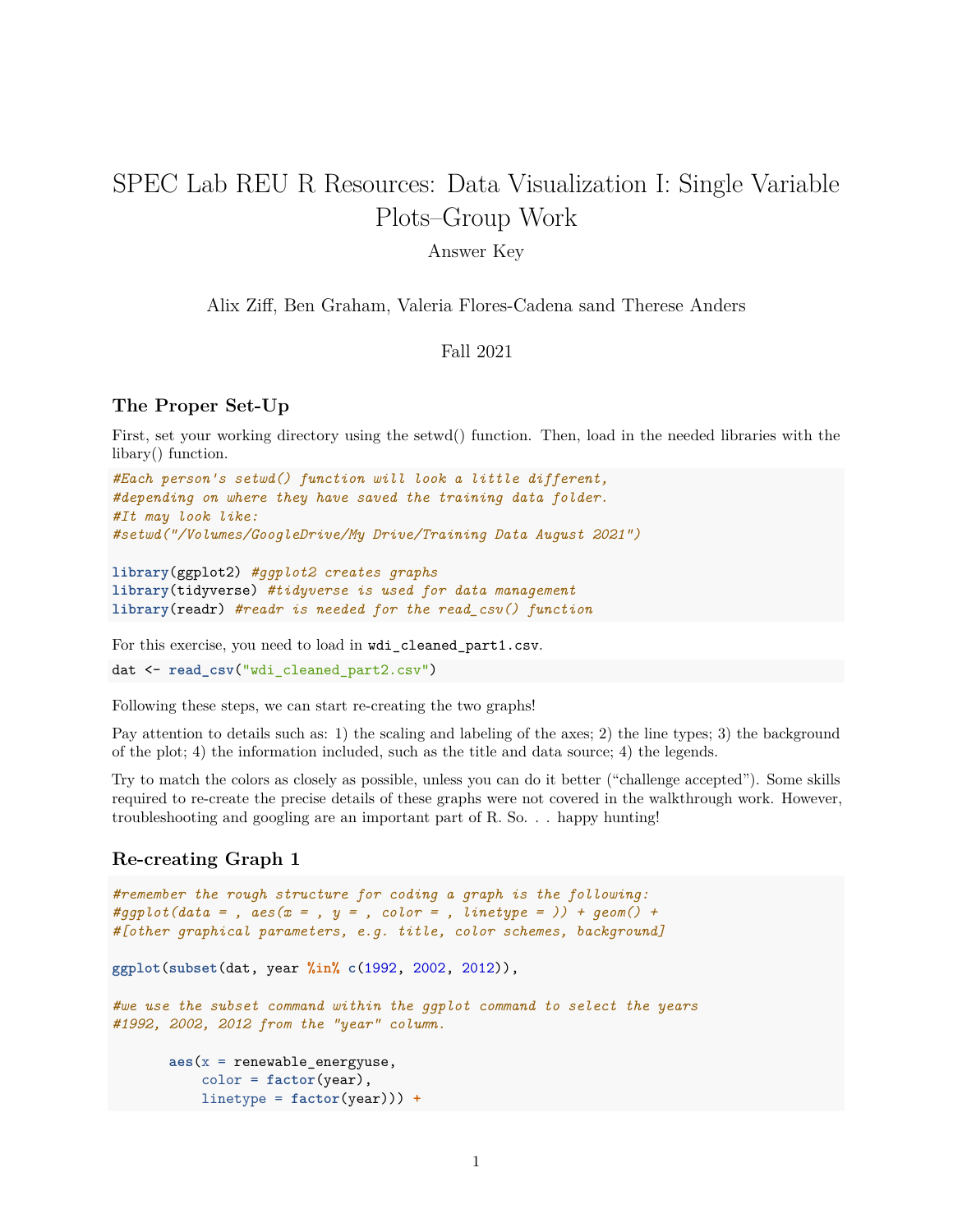# SPEC Lab REU R Resources: Data Visualization I: Single Variable Plots–Group Work

#### Answer Key

Alix Ziff, Ben Graham, Valeria Flores-Cadena sand Therese Anders

### Fall 2021

#### **The Proper Set-Up**

First, set your working directory using the setwd() function. Then, load in the needed libraries with the libary() function.

```
#Each person's setwd() function will look a little different,
#depending on where they have saved the training data folder.
#It may look like:
#setwd("/Volumes/GoogleDrive/My Drive/Training Data August 2021")
```

```
library(ggplot2) #ggplot2 creates graphs
library(tidyverse) #tidyverse is used for data management
library(readr) #readr is needed for the read_csv() function
```
For this exercise, you need to load in wdi\_cleaned\_part1.csv.

dat <- **read\_csv**("wdi\_cleaned\_part2.csv")

Following these steps, we can start re-creating the two graphs!

Pay attention to details such as: 1) the scaling and labeling of the axes; 2) the line types; 3) the background of the plot; 4) the information included, such as the title and data source; 4) the legends.

Try to match the colors as closely as possible, unless you can do it better ("challenge accepted"). Some skills required to re-create the precise details of these graphs were not covered in the walkthrough work. However, troubleshooting and googling are an important part of R. So. . . happy hunting!

#### **Re-creating Graph 1**

```
#remember the rough structure for coding a graph is the following:
#ggplot(data = , aes(x = , y = , color = , linetype = )) + geom() +#[other graphical parameters, e.g. title, color schemes, background]
ggplot(subset(dat, year %in% c(1992, 2002, 2012)),
#we use the subset command within the ggplot command to select the years
#1992, 2002, 2012 from the "year" column.
       aes(x = renewable_energyuse,
           color = factor(year),
           linetype = factor(year))) +
```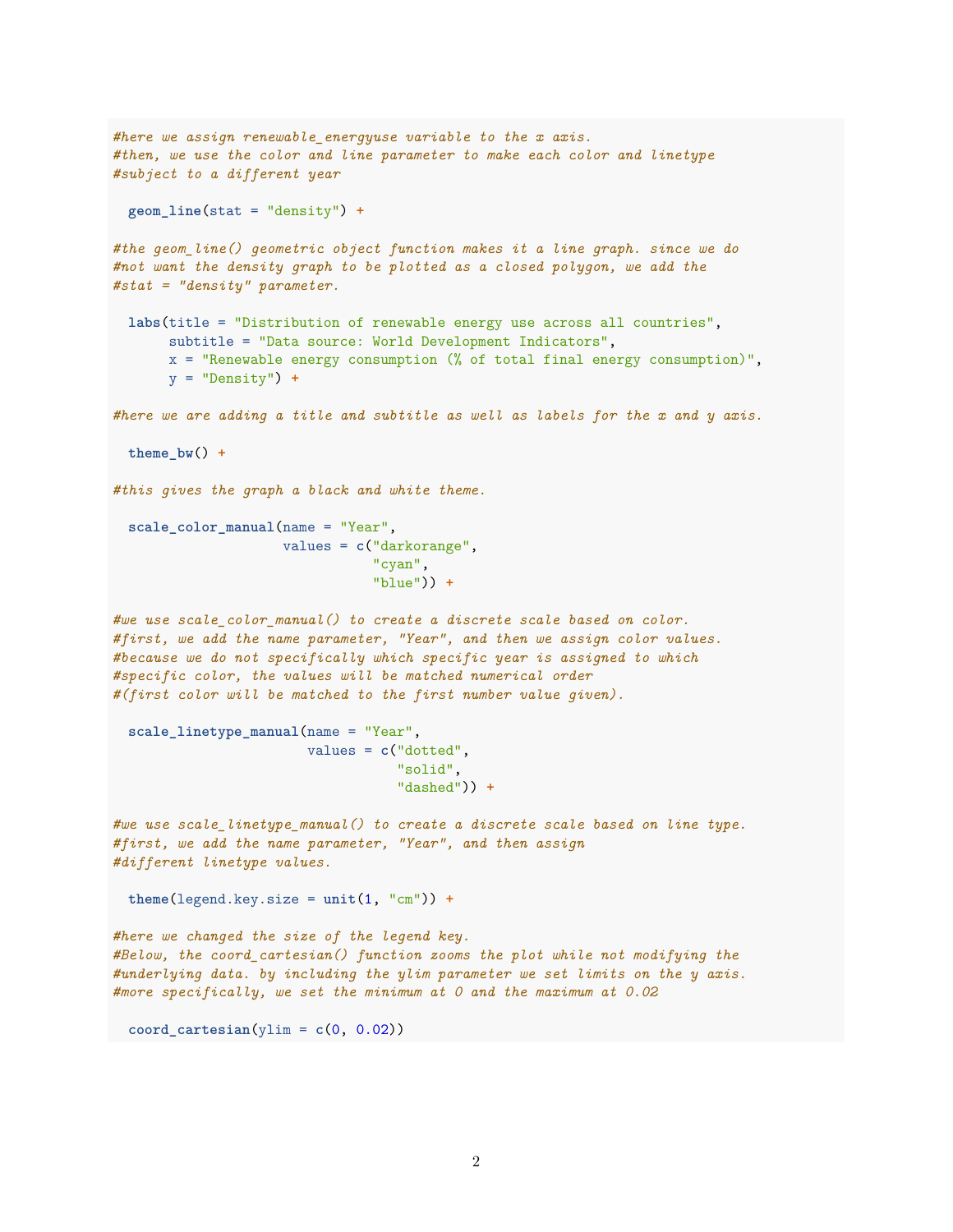```
#here we assign renewable_energyuse variable to the x axis.
#then, we use the color and line parameter to make each color and linetype
#subject to a different year
 geom_line(stat = "density") +
#the geom_line() geometric object function makes it a line graph. since we do
#not want the density graph to be plotted as a closed polygon, we add the
#stat = "density" parameter.
 labs(title = "Distribution of renewable energy use across all countries",
       subtitle = "Data source: World Development Indicators",
       x = "Renewable energy consumption (% of total final energy consumption)",
       y = "Density") +
#here we are adding a title and subtitle as well as labels for the x and y axis.
 theme_bw() +
#this gives the graph a black and white theme.
 scale_color_manual(name = "Year",
                     values = c("darkorange",
                                "cyan",
                                "blue")) +
#we use scale_color_manual() to create a discrete scale based on color.
#first, we add the name parameter, "Year", and then we assign color values.
#because we do not specifically which specific year is assigned to which
#specific color, the values will be matched numerical order
#(first color will be matched to the first number value given).
 scale linetype manual(name = "Year",
                        values = c("dotted",
                                   "solid",
                                    "dashed")) +
#we use scale_linetype_manual() to create a discrete scale based on line type.
#first, we add the name parameter, "Year", and then assign
#different linetype values.
 theme(\text{legend.key.size} = \text{unit}(1, "cm")) +
#here we changed the size of the legend key.
#Below, the coord_cartesian() function zooms the plot while not modifying the
#underlying data. by including the ylim parameter we set limits on the y axis.
#more specifically, we set the minimum at 0 and the maximum at 0.02
\text{coord\_cartesian}(y\text{lim} = c(0, 0.02))
```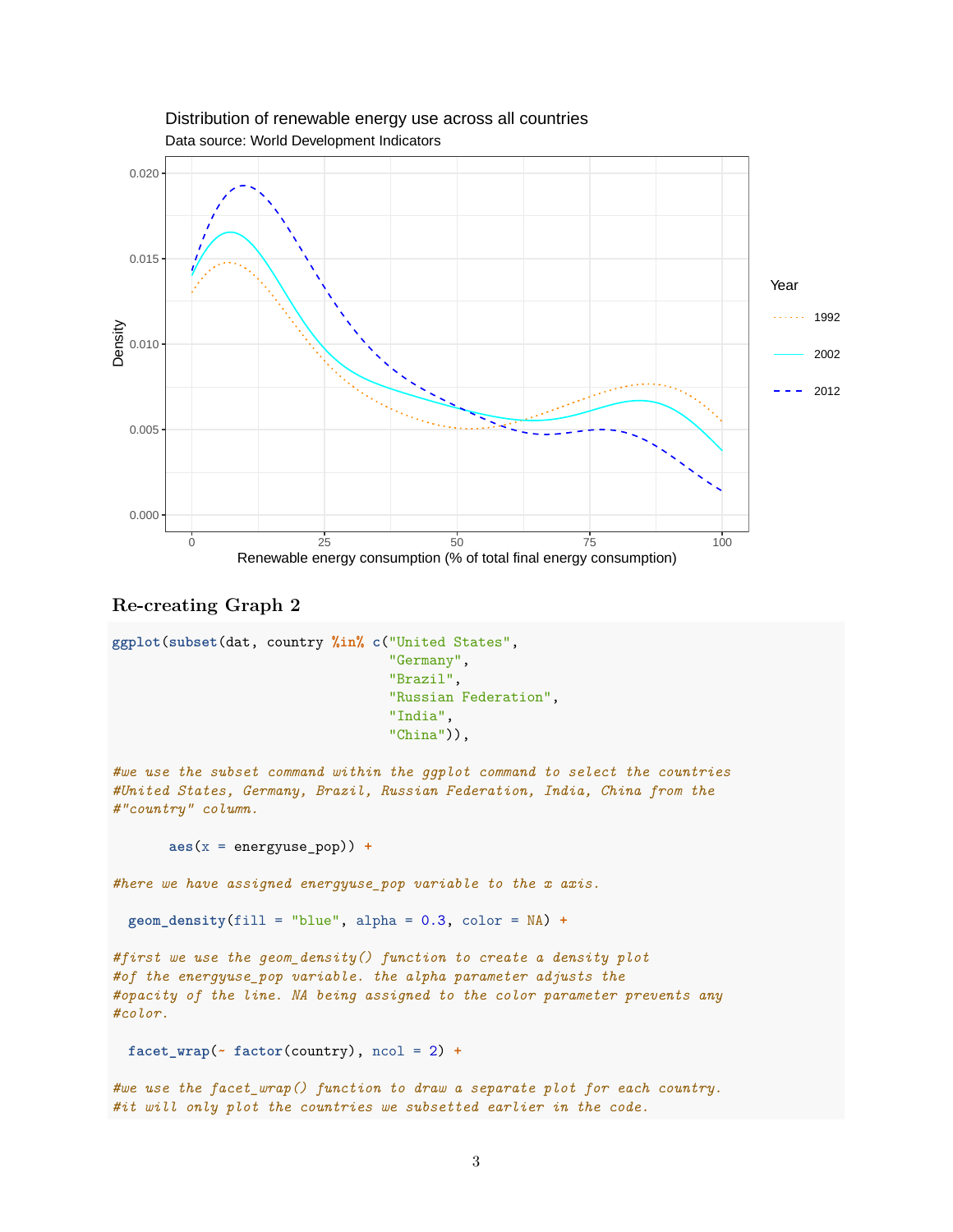

## Data source: World Development Indicators Distribution of renewable energy use across all countries

**Re-creating Graph 2**

```
ggplot(subset(dat, country %in% c("United States",
                                  "Germany",
                                  "Brazil",
                                  "Russian Federation",
                                  "India",
                                  "China")),
#we use the subset command within the ggplot command to select the countries
#United States, Germany, Brazil, Russian Federation, India, China from the
#"country" column.
       aes(x = energyuse_pop)) +
#here we have assigned energyuse_pop variable to the x axis.
 geom_density(fill = "blue", alpha = 0.3, color = NA) +
#first we use the geom_density() function to create a density plot
#of the energyuse_pop variable. the alpha parameter adjusts the
#opacity of the line. NA being assigned to the color parameter prevents any
#color.
 facet_wrap(~ factor(country), ncol = 2) +
#we use the facet_wrap() function to draw a separate plot for each country.
#it will only plot the countries we subsetted earlier in the code.
```